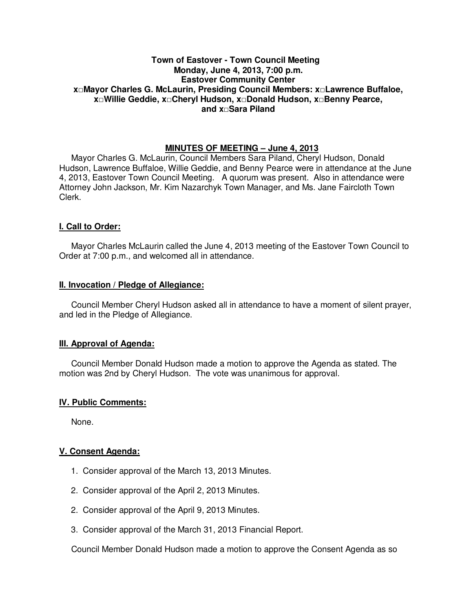## **Town of Eastover - Town Council Meeting Monday, June 4, 2013, 7:00 p.m. Eastover Community Center x□Mayor Charles G. McLaurin, Presiding Council Members: x□Lawrence Buffaloe, x□Willie Geddie, x□Cheryl Hudson, x□Donald Hudson, x□Benny Pearce, and x□Sara Piland**

## **MINUTES OF MEETING – June 4, 2013**

Mayor Charles G. McLaurin, Council Members Sara Piland, Cheryl Hudson, Donald Hudson, Lawrence Buffaloe, Willie Geddie, and Benny Pearce were in attendance at the June 4, 2013, Eastover Town Council Meeting. A quorum was present. Also in attendance were Attorney John Jackson, Mr. Kim Nazarchyk Town Manager, and Ms. Jane Faircloth Town Clerk.

## **I. Call to Order:**

Mayor Charles McLaurin called the June 4, 2013 meeting of the Eastover Town Council to Order at 7:00 p.m., and welcomed all in attendance.

#### **II. Invocation / Pledge of Allegiance:**

 Council Member Cheryl Hudson asked all in attendance to have a moment of silent prayer, and led in the Pledge of Allegiance.

#### **III. Approval of Agenda:**

 Council Member Donald Hudson made a motion to approve the Agenda as stated. The motion was 2nd by Cheryl Hudson. The vote was unanimous for approval.

#### **IV. Public Comments:**

None.

#### **V. Consent Agenda:**

- 1. Consider approval of the March 13, 2013 Minutes.
- 2. Consider approval of the April 2, 2013 Minutes.
- 2. Consider approval of the April 9, 2013 Minutes.
- 3. Consider approval of the March 31, 2013 Financial Report.

Council Member Donald Hudson made a motion to approve the Consent Agenda as so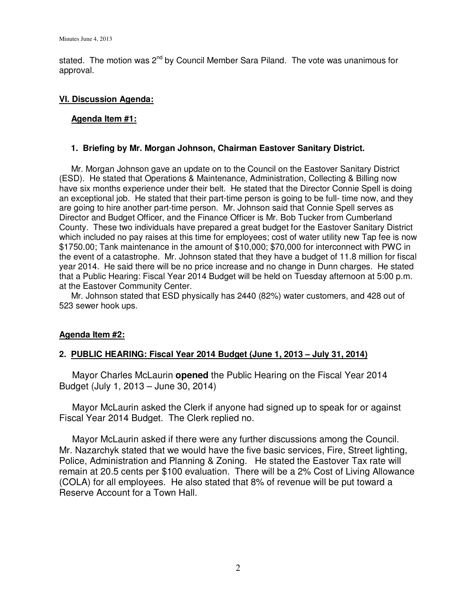stated. The motion was 2<sup>nd</sup> by Council Member Sara Piland. The vote was unanimous for approval.

## **VI. Discussion Agenda:**

## **Agenda Item #1:**

## **1. Briefing by Mr. Morgan Johnson, Chairman Eastover Sanitary District.**

 Mr. Morgan Johnson gave an update on to the Council on the Eastover Sanitary District (ESD). He stated that Operations & Maintenance, Administration, Collecting & Billing now have six months experience under their belt. He stated that the Director Connie Spell is doing an exceptional job. He stated that their part-time person is going to be full- time now, and they are going to hire another part-time person. Mr. Johnson said that Connie Spell serves as Director and Budget Officer, and the Finance Officer is Mr. Bob Tucker from Cumberland County. These two individuals have prepared a great budget for the Eastover Sanitary District which included no pay raises at this time for employees; cost of water utility new Tap fee is now \$1750.00; Tank maintenance in the amount of \$10,000; \$70,000 for interconnect with PWC in the event of a catastrophe. Mr. Johnson stated that they have a budget of 11.8 million for fiscal year 2014. He said there will be no price increase and no change in Dunn charges. He stated that a Public Hearing: Fiscal Year 2014 Budget will be held on Tuesday afternoon at 5:00 p.m. at the Eastover Community Center.

 Mr. Johnson stated that ESD physically has 2440 (82%) water customers, and 428 out of 523 sewer hook ups.

# **Agenda Item #2:**

#### **2. PUBLIC HEARING: Fiscal Year 2014 Budget (June 1, 2013 – July 31, 2014)**

 Mayor Charles McLaurin **opened** the Public Hearing on the Fiscal Year 2014 Budget (July 1, 2013 – June 30, 2014)

 Mayor McLaurin asked the Clerk if anyone had signed up to speak for or against Fiscal Year 2014 Budget. The Clerk replied no.

 Mayor McLaurin asked if there were any further discussions among the Council. Mr. Nazarchyk stated that we would have the five basic services, Fire, Street lighting, Police, Administration and Planning & Zoning. He stated the Eastover Tax rate will remain at 20.5 cents per \$100 evaluation. There will be a 2% Cost of Living Allowance (COLA) for all employees. He also stated that 8% of revenue will be put toward a Reserve Account for a Town Hall.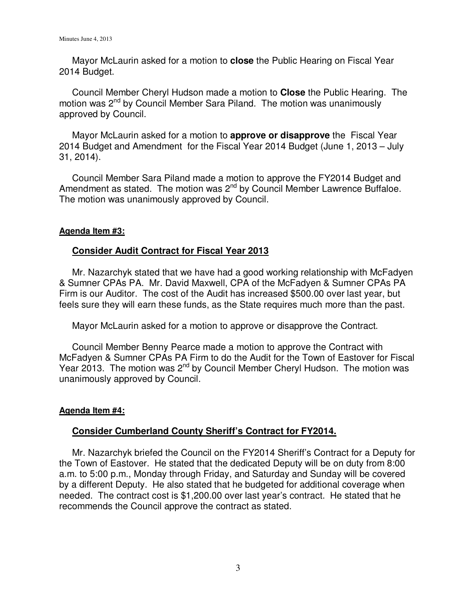Mayor McLaurin asked for a motion to **close** the Public Hearing on Fiscal Year 2014 Budget.

 Council Member Cheryl Hudson made a motion to **Close** the Public Hearing. The motion was 2<sup>nd</sup> by Council Member Sara Piland. The motion was unanimously approved by Council.

Mayor McLaurin asked for a motion to **approve or disapprove** the Fiscal Year 2014 Budget and Amendment for the Fiscal Year 2014 Budget (June 1, 2013 – July 31, 2014).

 Council Member Sara Piland made a motion to approve the FY2014 Budget and Amendment as stated. The motion was 2<sup>nd</sup> by Council Member Lawrence Buffaloe. The motion was unanimously approved by Council.

# **Agenda Item #3:**

# **Consider Audit Contract for Fiscal Year 2013**

 Mr. Nazarchyk stated that we have had a good working relationship with McFadyen & Sumner CPAs PA. Mr. David Maxwell, CPA of the McFadyen & Sumner CPAs PA Firm is our Auditor. The cost of the Audit has increased \$500.00 over last year, but feels sure they will earn these funds, as the State requires much more than the past.

Mayor McLaurin asked for a motion to approve or disapprove the Contract.

 Council Member Benny Pearce made a motion to approve the Contract with McFadyen & Sumner CPAs PA Firm to do the Audit for the Town of Eastover for Fiscal Year 2013. The motion was  $2^{nd}$  by Council Member Cheryl Hudson. The motion was unanimously approved by Council.

# **Agenda Item #4:**

# **Consider Cumberland County Sheriff's Contract for FY2014.**

 Mr. Nazarchyk briefed the Council on the FY2014 Sheriff's Contract for a Deputy for the Town of Eastover. He stated that the dedicated Deputy will be on duty from 8:00 a.m. to 5:00 p.m., Monday through Friday, and Saturday and Sunday will be covered by a different Deputy. He also stated that he budgeted for additional coverage when needed. The contract cost is \$1,200.00 over last year's contract. He stated that he recommends the Council approve the contract as stated.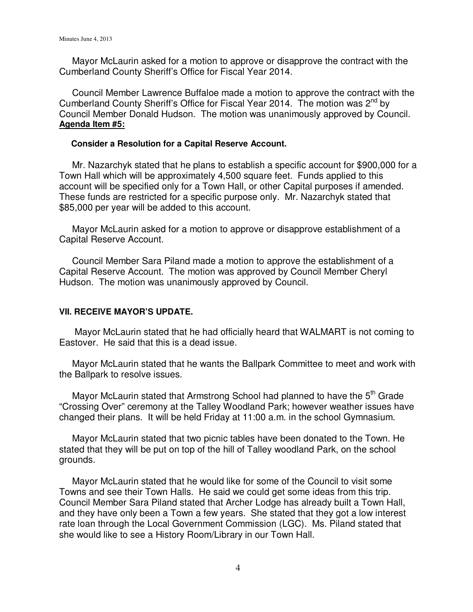Mayor McLaurin asked for a motion to approve or disapprove the contract with the Cumberland County Sheriff's Office for Fiscal Year 2014.

 Council Member Lawrence Buffaloe made a motion to approve the contract with the Cumberland County Sheriff's Office for Fiscal Year 2014. The motion was 2<sup>nd</sup> by Council Member Donald Hudson. The motion was unanimously approved by Council. **Agenda Item #5:**

#### **Consider a Resolution for a Capital Reserve Account.**

 Mr. Nazarchyk stated that he plans to establish a specific account for \$900,000 for a Town Hall which will be approximately 4,500 square feet. Funds applied to this account will be specified only for a Town Hall, or other Capital purposes if amended. These funds are restricted for a specific purpose only. Mr. Nazarchyk stated that \$85,000 per year will be added to this account.

 Mayor McLaurin asked for a motion to approve or disapprove establishment of a Capital Reserve Account.

 Council Member Sara Piland made a motion to approve the establishment of a Capital Reserve Account. The motion was approved by Council Member Cheryl Hudson. The motion was unanimously approved by Council.

# **VII. RECEIVE MAYOR'S UPDATE.**

 Mayor McLaurin stated that he had officially heard that WALMART is not coming to Eastover. He said that this is a dead issue.

Mayor McLaurin stated that he wants the Ballpark Committee to meet and work with the Ballpark to resolve issues.

Mayor McLaurin stated that Armstrong School had planned to have the 5<sup>th</sup> Grade "Crossing Over" ceremony at the Talley Woodland Park; however weather issues have changed their plans. It will be held Friday at 11:00 a.m. in the school Gymnasium.

 Mayor McLaurin stated that two picnic tables have been donated to the Town. He stated that they will be put on top of the hill of Talley woodland Park, on the school grounds.

Mayor McLaurin stated that he would like for some of the Council to visit some Towns and see their Town Halls. He said we could get some ideas from this trip. Council Member Sara Piland stated that Archer Lodge has already built a Town Hall, and they have only been a Town a few years. She stated that they got a low interest rate loan through the Local Government Commission (LGC). Ms. Piland stated that she would like to see a History Room/Library in our Town Hall.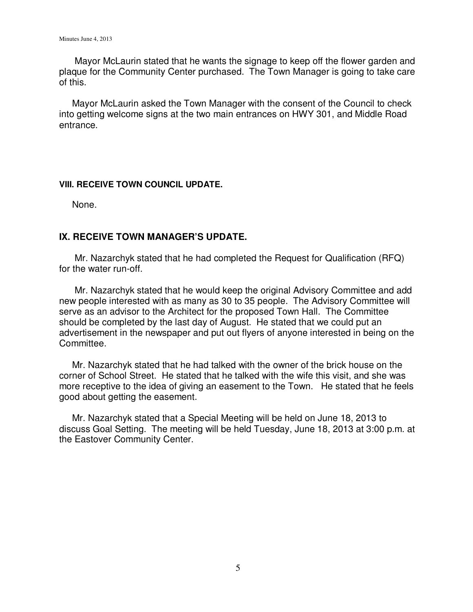Mayor McLaurin stated that he wants the signage to keep off the flower garden and plaque for the Community Center purchased. The Town Manager is going to take care of this.

 Mayor McLaurin asked the Town Manager with the consent of the Council to check into getting welcome signs at the two main entrances on HWY 301, and Middle Road entrance.

# **VIII. RECEIVE TOWN COUNCIL UPDATE.**

None.

# **IX. RECEIVE TOWN MANAGER'S UPDATE.**

 Mr. Nazarchyk stated that he had completed the Request for Qualification (RFQ) for the water run-off.

 Mr. Nazarchyk stated that he would keep the original Advisory Committee and add new people interested with as many as 30 to 35 people. The Advisory Committee will serve as an advisor to the Architect for the proposed Town Hall. The Committee should be completed by the last day of August. He stated that we could put an advertisement in the newspaper and put out flyers of anyone interested in being on the Committee.

 Mr. Nazarchyk stated that he had talked with the owner of the brick house on the corner of School Street. He stated that he talked with the wife this visit, and she was more receptive to the idea of giving an easement to the Town. He stated that he feels good about getting the easement.

 Mr. Nazarchyk stated that a Special Meeting will be held on June 18, 2013 to discuss Goal Setting. The meeting will be held Tuesday, June 18, 2013 at 3:00 p.m. at the Eastover Community Center.